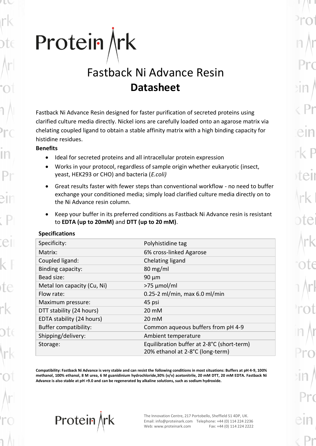# Protein $\n *krk*\n$

# Fastback Ni Advance Resin **Datasheet**

Fastback Ni Advance Resin designed for faster purification of secreted proteins using clarified culture media directly. Nickel ions are carefully loaded onto an agarose matrix via chelating coupled ligand to obtain a stable affinity matrix with a high binding capacity for histidine residues.

## **Benefits**

- Ideal for secreted proteins and all intracellular protein expression
- Works in your protocol, regardless of sample origin whether eukaryotic (insect, yeast, HEK293 or CHO) and bacteria (*E.coli)*
- Great results faster with fewer steps than conventional workflow no need to buffer exchange your conditioned media; simply load clarified culture media directly on to the Ni Advance resin column.
- Keep your buffer in its preferred conditions as Fastback Ni Advance resin is resistant to **EDTA (up to 20mM)** and **DTT (up to 20 mM)**.

| Polyhistidine tag                          |
|--------------------------------------------|
| 6% cross-linked Agarose                    |
| Chelating ligand                           |
| $80 \text{ mg/ml}$                         |
| $90 \mu m$                                 |
| $>75 \mu$ mol/ml                           |
| $0.25-2$ ml/min, max 6.0 ml/min            |
| 45 psi                                     |
| 20 mM                                      |
| 20 mM                                      |
| Common aqueous buffers from pH 4-9         |
| Ambient temperature                        |
| Equilibration buffer at 2-8°C (short-term) |
| 20% ethanol at 2-8°C (long-term)           |
|                                            |

# **Specifications**

**Compatibility: Fastback Ni Advance is very stable and can resist the following conditions in most situations: Buffers at pH 4-9, 100% methanol, 100% ethanol, 8 M urea, 6 M guanidinium hydrochloride,30% (v/v) acetonitrile, 20 mM DTT, 20 mM EDTA. Fastback Ni Advance is also stable at pH >9.0 and can be regenerated by alkaline solutions, such as sodium hydroxide.**

Protein \rk

The Innovation Centre, 217 Portobello, Sheffield S1 4DP, UK. Email: info@proteinark.com Telephone: +44 (0) 114 224 2236 Web: www.proteinark.com Fax: +44 (0) 114 224 2222